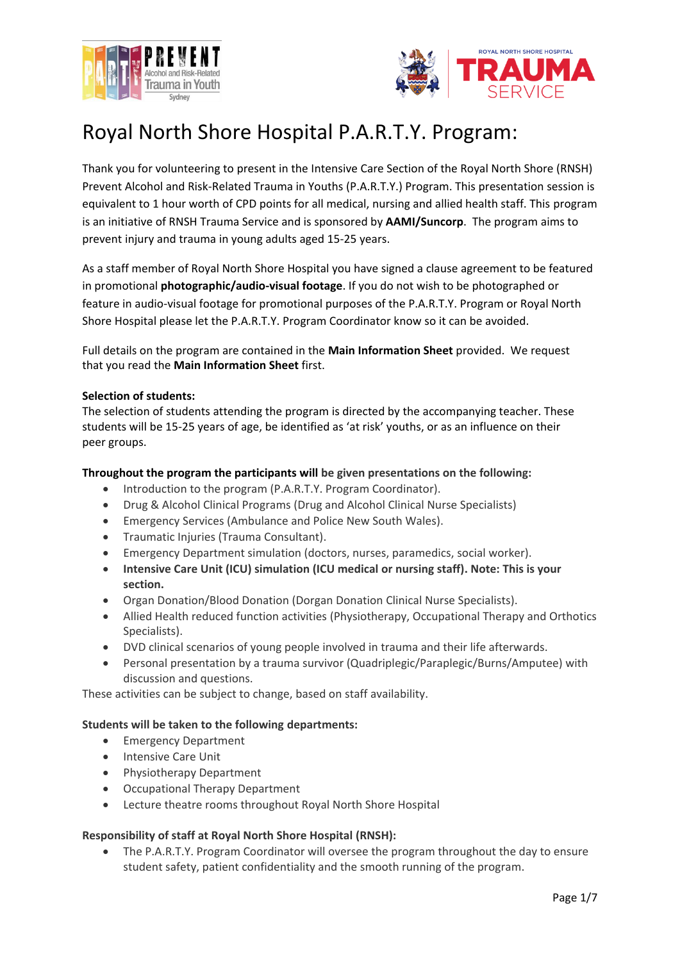



# Royal North Shore Hospital P.A.R.T.Y. Program:

Thank you for volunteering to present in the Intensive Care Section of the Royal North Shore (RNSH) Prevent Alcohol and Risk-Related Trauma in Youths (P.A.R.T.Y.) Program. This presentation session is equivalent to 1 hour worth of CPD points for all medical, nursing and allied health staff. This program is an initiative of RNSH Trauma Service and is sponsored by **AAMI/Suncorp**. The program aims to prevent injury and trauma in young adults aged 15-25 years.

As a staff member of Royal North Shore Hospital you have signed a clause agreement to be featured in promotional **photographic/audio-visual footage**. If you do not wish to be photographed or feature in audio-visual footage for promotional purposes of the P.A.R.T.Y. Program or Royal North Shore Hospital please let the P.A.R.T.Y. Program Coordinator know so it can be avoided.

Full details on the program are contained in the **Main Information Sheet** provided. We request that you read the **Main Information Sheet** first.

## **Selection of students:**

The selection of students attending the program is directed by the accompanying teacher. These students will be 15-25 years of age, be identified as 'at risk' youths, or as an influence on their peer groups.

## **Throughout the program the participants will be given presentations on the following:**

- Introduction to the program (P.A.R.T.Y. Program Coordinator).
- Drug & Alcohol Clinical Programs (Drug and Alcohol Clinical Nurse Specialists)
- Emergency Services (Ambulance and Police New South Wales).
- Traumatic Injuries (Trauma Consultant).
- Emergency Department simulation (doctors, nurses, paramedics, social worker).
- **Intensive Care Unit (ICU) simulation (ICU medical or nursing staff). Note: This is your section.**
- Organ Donation/Blood Donation (Dorgan Donation Clinical Nurse Specialists).
- Allied Health reduced function activities (Physiotherapy, Occupational Therapy and Orthotics Specialists).
- DVD clinical scenarios of young people involved in trauma and their life afterwards.
- Personal presentation by a trauma survivor (Quadriplegic/Paraplegic/Burns/Amputee) with discussion and questions.

These activities can be subject to change, based on staff availability.

## **Students will be taken to the following departments:**

- Emergency Department
- Intensive Care Unit
- Physiotherapy Department
- Occupational Therapy Department
- Lecture theatre rooms throughout Royal North Shore Hospital

## **Responsibility of staff at Royal North Shore Hospital (RNSH):**

• The P.A.R.T.Y. Program Coordinator will oversee the program throughout the day to ensure student safety, patient confidentiality and the smooth running of the program.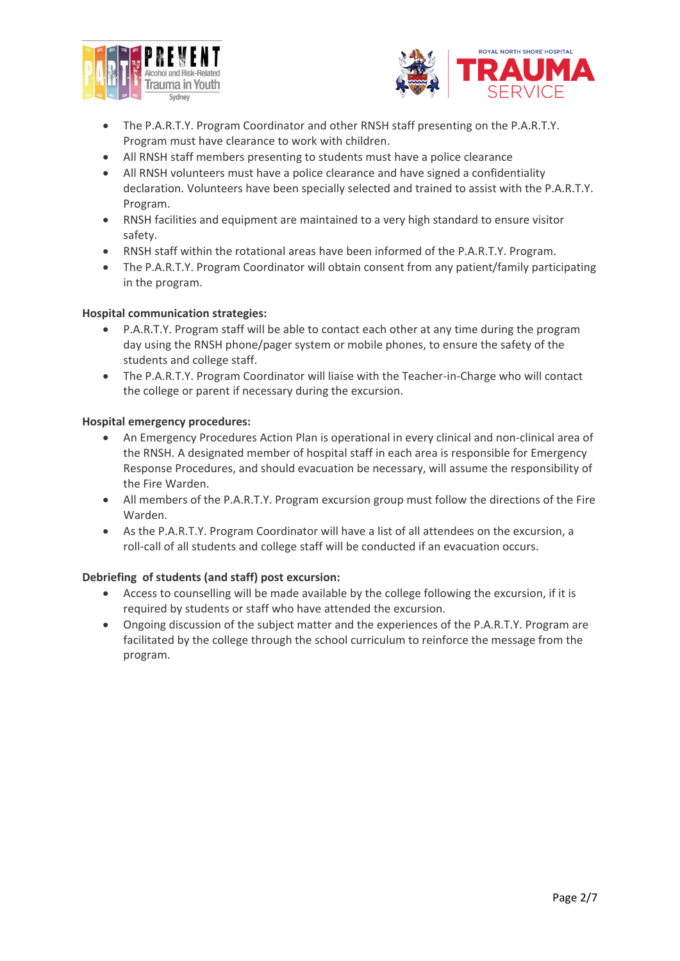



- The P.A.R.T.Y. Program Coordinator and other RNSH staff presenting on the P.A.R.T.Y. Program must have clearance to work with children.
- All RNSH staff members presenting to students must have a police clearance
- All RNSH volunteers must have a police clearance and have signed a confidentiality declaration. Volunteers have been specially selected and trained to assist with the P.A.R.T.Y. Program.
- RNSH facilities and equipment are maintained to a very high standard to ensure visitor safety.
- RNSH staff within the rotational areas have been informed of the P.A.R.T.Y. Program.
- The P.A.R.T.Y. Program Coordinator will obtain consent from any patient/family participating in the program.

## **Hospital communication strategies:**

- P.A.R.T.Y. Program staff will be able to contact each other at any time during the program day using the RNSH phone/pager system or mobile phones, to ensure the safety of the students and college staff.
- The P.A.R.T.Y. Program Coordinator will liaise with the Teacher-in-Charge who will contact the college or parent if necessary during the excursion.

#### **Hospital emergency procedures:**

- An Emergency Procedures Action Plan is operational in every clinical and non-clinical area of the RNSH. A designated member of hospital staff in each area is responsible for Emergency Response Procedures, and should evacuation be necessary, will assume the responsibility of the Fire Warden.
- All members of the P.A.R.T.Y. Program excursion group must follow the directions of the Fire Warden.
- As the P.A.R.T.Y. Program Coordinator will have a list of all attendees on the excursion, a roll-call of all students and college staff will be conducted if an evacuation occurs.

## **Debriefing of students (and staff) post excursion:**

- Access to counselling will be made available by the college following the excursion, if it is required by students or staff who have attended the excursion.
- Ongoing discussion of the subject matter and the experiences of the P.A.R.T.Y. Program are facilitated by the college through the school curriculum to reinforce the message from the program.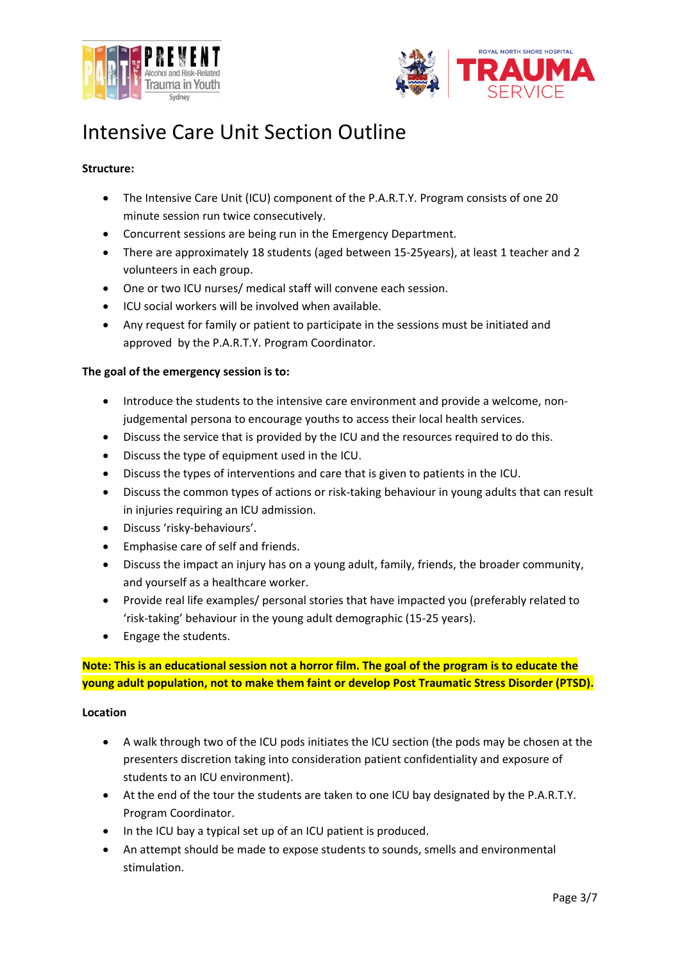



# Intensive Care Unit Section Outline

# **Structure:**

- The Intensive Care Unit (ICU) component of the P.A.R.T.Y. Program consists of one 20 minute session run twice consecutively.
- Concurrent sessions are being run in the Emergency Department.
- There are approximately 18 students (aged between 15-25years), at least 1 teacher and 2 volunteers in each group.
- One or two ICU nurses/ medical staff will convene each session.
- ICU social workers will be involved when available.
- Any request for family or patient to participate in the sessions must be initiated and approved by the P.A.R.T.Y. Program Coordinator.

## **The goal of the emergency session is to:**

- Introduce the students to the intensive care environment and provide a welcome, nonjudgemental persona to encourage youths to access their local health services.
- Discuss the service that is provided by the ICU and the resources required to do this.
- Discuss the type of equipment used in the ICU.
- Discuss the types of interventions and care that is given to patients in the ICU.
- Discuss the common types of actions or risk-taking behaviour in young adults that can result in injuries requiring an ICU admission.
- Discuss 'risky-behaviours'.
- Emphasise care of self and friends.
- Discuss the impact an injury has on a young adult, family, friends, the broader community, and yourself as a healthcare worker.
- Provide real life examples/ personal stories that have impacted you (preferably related to 'risk-taking' behaviour in the young adult demographic (15-25 years).
- Engage the students.

**Note: This is an educational session not a horror film. The goal of the program is to educate the young adult population, not to make them faint or develop Post Traumatic Stress Disorder (PTSD).**

#### **Location**

- A walk through two of the ICU pods initiates the ICU section (the pods may be chosen at the presenters discretion taking into consideration patient confidentiality and exposure of students to an ICU environment).
- At the end of the tour the students are taken to one ICU bay designated by the P.A.R.T.Y. Program Coordinator.
- In the ICU bay a typical set up of an ICU patient is produced.
- An attempt should be made to expose students to sounds, smells and environmental stimulation.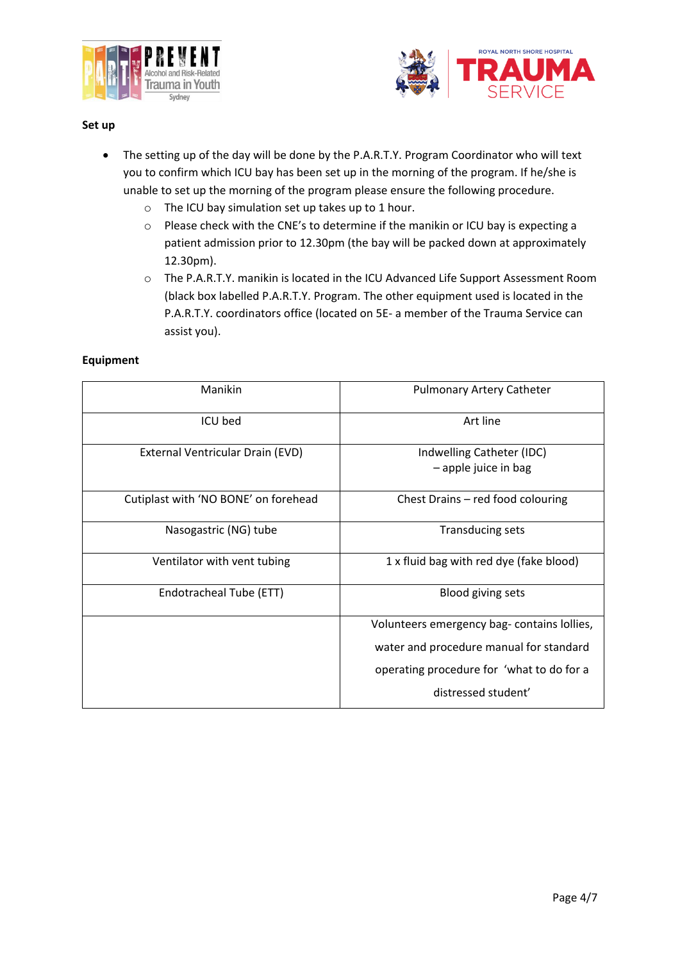



#### **Set up**

- The setting up of the day will be done by the P.A.R.T.Y. Program Coordinator who will text you to confirm which ICU bay has been set up in the morning of the program. If he/she is unable to set up the morning of the program please ensure the following procedure.
	- o The ICU bay simulation set up takes up to 1 hour.
	- o Please check with the CNE's to determine if the manikin or ICU bay is expecting a patient admission prior to 12.30pm (the bay will be packed down at approximately 12.30pm).
	- o The P.A.R.T.Y. manikin is located in the ICU Advanced Life Support Assessment Room (black box labelled P.A.R.T.Y. Program. The other equipment used is located in the P.A.R.T.Y. coordinators office (located on 5E- a member of the Trauma Service can assist you).

## **Equipment**

| Manikin                              | <b>Pulmonary Artery Catheter</b>                    |
|--------------------------------------|-----------------------------------------------------|
| ICU bed                              | Art line                                            |
| External Ventricular Drain (EVD)     | Indwelling Catheter (IDC)<br>$-$ apple juice in bag |
| Cutiplast with 'NO BONE' on forehead | Chest Drains - red food colouring                   |
| Nasogastric (NG) tube                | <b>Transducing sets</b>                             |
| Ventilator with vent tubing          | 1 x fluid bag with red dye (fake blood)             |
| Endotracheal Tube (ETT)              | <b>Blood giving sets</b>                            |
|                                      | Volunteers emergency bag-contains lollies,          |
|                                      | water and procedure manual for standard             |
|                                      | operating procedure for 'what to do for a           |
|                                      | distressed student'                                 |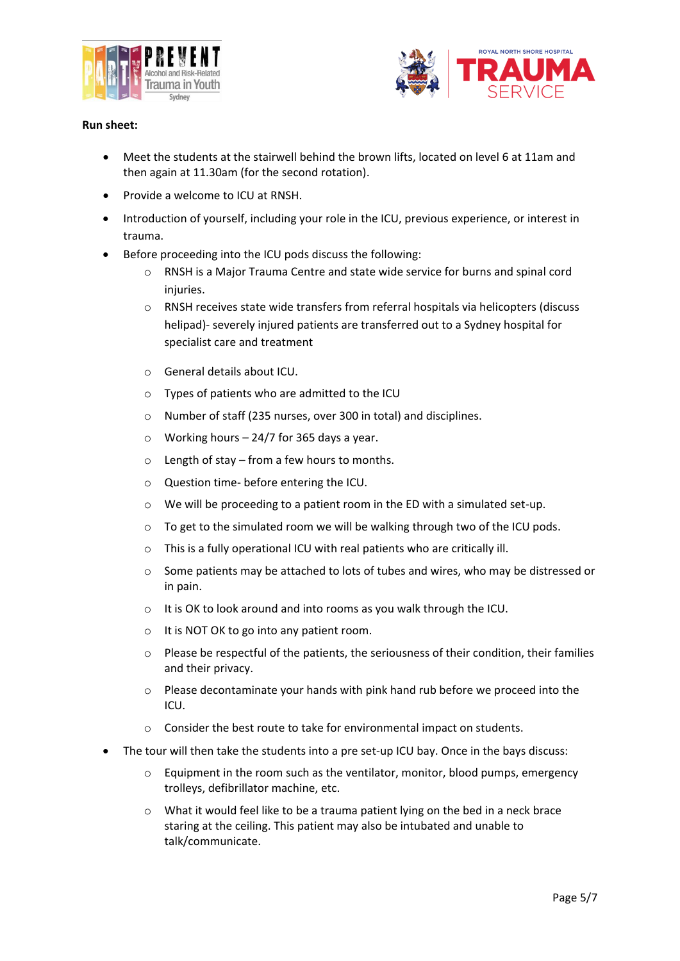



## **Run sheet:**

- Meet the students at the stairwell behind the brown lifts, located on level 6 at 11am and then again at 11.30am (for the second rotation).
- Provide a welcome to ICU at RNSH.
- Introduction of yourself, including your role in the ICU, previous experience, or interest in trauma.
- Before proceeding into the ICU pods discuss the following:
	- $\circ$  RNSH is a Major Trauma Centre and state wide service for burns and spinal cord injuries.
	- o RNSH receives state wide transfers from referral hospitals via helicopters (discuss helipad)- severely injured patients are transferred out to a Sydney hospital for specialist care and treatment
	- o General details about ICU.
	- o Types of patients who are admitted to the ICU
	- o Number of staff (235 nurses, over 300 in total) and disciplines.
	- $\circ$  Working hours 24/7 for 365 days a year.
	- $\circ$  Length of stay from a few hours to months.
	- o Question time- before entering the ICU.
	- o We will be proceeding to a patient room in the ED with a simulated set-up.
	- o To get to the simulated room we will be walking through two of the ICU pods.
	- o This is a fully operational ICU with real patients who are critically ill.
	- o Some patients may be attached to lots of tubes and wires, who may be distressed or in pain.
	- o It is OK to look around and into rooms as you walk through the ICU.
	- o It is NOT OK to go into any patient room.
	- o Please be respectful of the patients, the seriousness of their condition, their families and their privacy.
	- o Please decontaminate your hands with pink hand rub before we proceed into the ICU.
	- o Consider the best route to take for environmental impact on students.
- The tour will then take the students into a pre set-up ICU bay. Once in the bays discuss:
	- $\circ$  Equipment in the room such as the ventilator, monitor, blood pumps, emergency trolleys, defibrillator machine, etc.
	- o What it would feel like to be a trauma patient lying on the bed in a neck brace staring at the ceiling. This patient may also be intubated and unable to talk/communicate.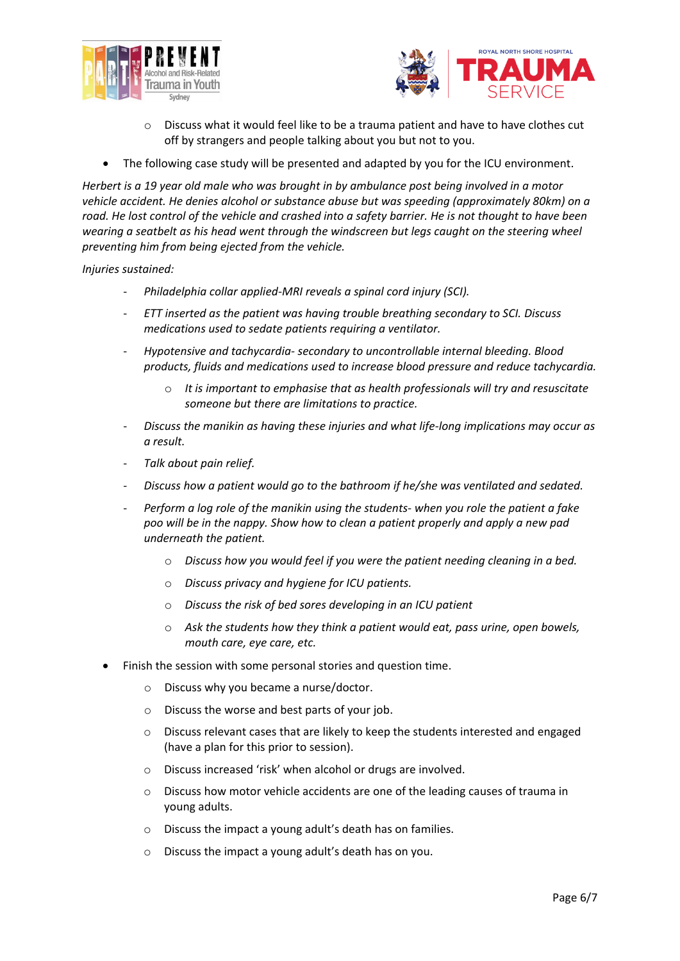



- $\circ$  Discuss what it would feel like to be a trauma patient and have to have clothes cut off by strangers and people talking about you but not to you.
- The following case study will be presented and adapted by you for the ICU environment.

*Herbert is a 19 year old male who was brought in by ambulance post being involved in a motor vehicle accident. He denies alcohol or substance abuse but was speeding (approximately 80km) on a road. He lost control of the vehicle and crashed into a safety barrier. He is not thought to have been wearing a seatbelt as his head went through the windscreen but legs caught on the steering wheel preventing him from being ejected from the vehicle.* 

*Injuries sustained:*

- *Philadelphia collar applied-MRI reveals a spinal cord injury (SCI).*
- *ETT inserted as the patient was having trouble breathing secondary to SCI. Discuss medications used to sedate patients requiring a ventilator.*
- *Hypotensive and tachycardia- secondary to uncontrollable internal bleeding. Blood products, fluids and medications used to increase blood pressure and reduce tachycardia.*
	- o *It is important to emphasise that as health professionals will try and resuscitate someone but there are limitations to practice.*
- *Discuss the manikin as having these injuries and what life-long implications may occur as a result.*
- *Talk about pain relief.*
- *Discuss how a patient would go to the bathroom if he/she was ventilated and sedated.*
- *Perform a log role of the manikin using the students- when you role the patient a fake poo will be in the nappy. Show how to clean a patient properly and apply a new pad underneath the patient.* 
	- o *Discuss how you would feel if you were the patient needing cleaning in a bed.*
	- o *Discuss privacy and hygiene for ICU patients.*
	- o *Discuss the risk of bed sores developing in an ICU patient*
	- o *Ask the students how they think a patient would eat, pass urine, open bowels, mouth care, eye care, etc.*
- Finish the session with some personal stories and question time.
	- Discuss why you became a nurse/doctor.
	- o Discuss the worse and best parts of your job.
	- $\circ$  Discuss relevant cases that are likely to keep the students interested and engaged (have a plan for this prior to session).
	- o Discuss increased 'risk' when alcohol or drugs are involved.
	- o Discuss how motor vehicle accidents are one of the leading causes of trauma in young adults.
	- o Discuss the impact a young adult's death has on families.
	- o Discuss the impact a young adult's death has on you.